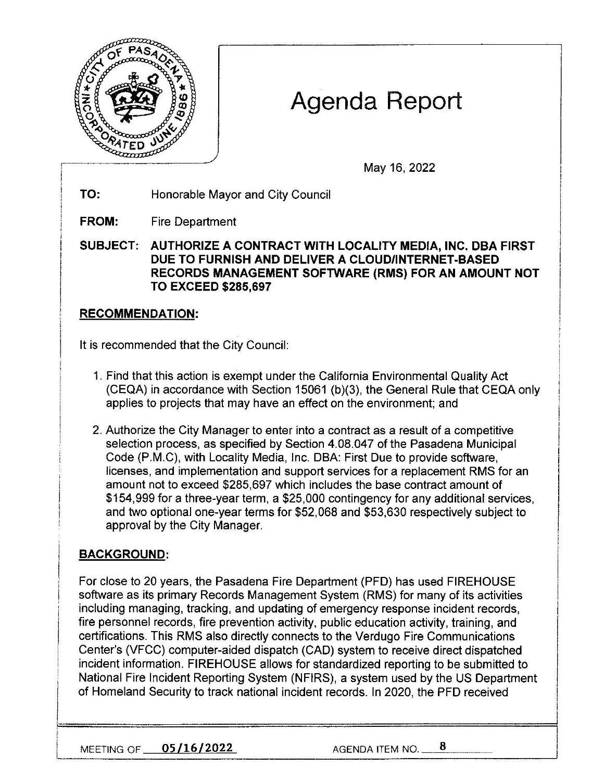

# Agenda Report

May 16, 2022

**TO:** Honorable Mayor and City Council

**FROM:** Fire Department

**SUBJECT: AUTHORIZE A CONTRACT WITH LOCALITY MEDIA, INC. OBA FIRST DUE TO FURNISH AND DELIVER A CLOUD/INTERNET-BASED RECORDS MANAGEMENT SOFTWARE (RMS) FOR AN AMOUNT NOT TO EXCEED \$285,697** 

## **RECOMMENDATION:**

It is recommended that the City Council:

- 1. Find that this action is exempt under the California Environmental Quality Act (CEQA) in accordance with Section 15061 (b)(3), the General Rule that CEQA only applies to projects that may have an effect on the environment; and
- 2. Authorize the City Manager to enter into a contract as a result of a competitive selection process, as specified by Section 4.08.047 of the Pasadena Municipal Code (P.M.C), with Locality Media, Inc. OBA: First Due to provide software, licenses, and implementation and support services for a replacement RMS for an amount not to exceed \$285,697 which includes the base contract amount of \$154,999 for a three-year term, a \$25,000 contingency for any additional services, and two optional one-year terms for \$52,068 and \$53,630 respectively subject to approval by the City Manager.

## **BACKGROUND:**

For close to 20 years, the Pasadena Fire Department (PFD) has used FIREHOUSE software as its primary Records Management System (RMS) for many of its activities including managing, tracking, and updating of emergency response incident records, fire personnel records, fire prevention activity, public education activity, training, and certifications. This RMS also directly connects to the Verdugo Fire Communications Center's (VFCC) computer-aided dispatch (CAD) system to receive direct dispatched incident information. FIREHOUSE allows for standardized reporting to be submitted to National Fire Incident Reporting System (NFIRS), a system used by the US Department of Homeland Security to track national incident records. In 2020, the PFD received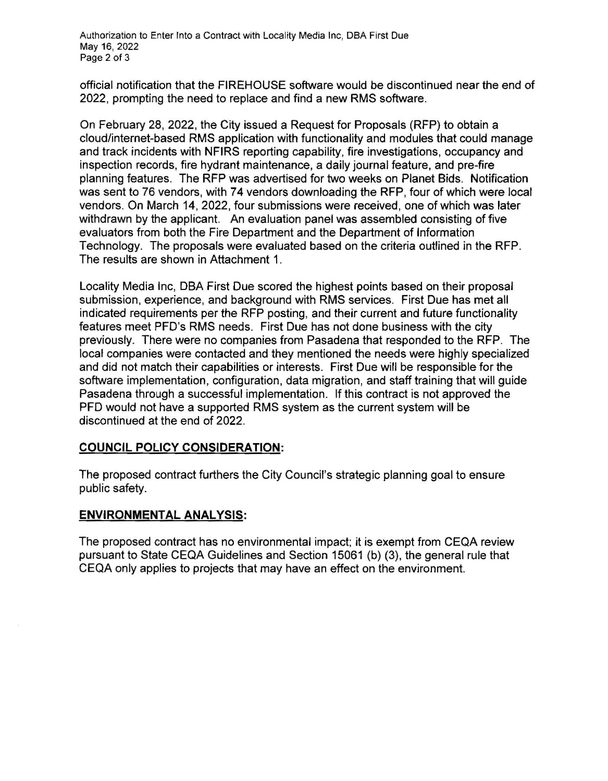official notification that the FIREHOUSE software would be discontinued near the end of 2022, prompting the need to replace and find a new RMS software.

On February 28, 2022, the City issued a Request for Proposals (RFP) to obtain a cloud/internet-based RMS application with functionality and modules that could manage and track incidents with NFIRS reporting capability, fire investigations, occupancy and inspection records, fire hydrant maintenance, a daily journal feature, and pre-fire planning features. The RFP was advertised for two weeks on Planet Bids. Notification was sent to 76 vendors, with 74 vendors downloading the RFP, four of which were local vendors. On March 14, 2022, four submissions were received, one of which was later withdrawn by the applicant. An evaluation panel was assembled consisting of five evaluators from both the Fire Department and the Department of Information Technology. The proposals were evaluated based on the criteria outlined in the RFP. The results are shown in Attachment 1.

Locality Media Inc, OBA First Due scored the highest points based on their proposal submission, experience, and background with RMS services. First Due has met all indicated requirements per the RFP posting, and their current and future functionality features meet PFD's RMS needs. First Due has not done business with the city previously. There were no companies from Pasadena that responded to the RFP. The local companies were contacted and they mentioned the needs were highly specialized and did not match their capabilities or interests. First Due will be responsible for the software implementation, configuration, data migration, and staff training that will guide Pasadena through a successful implementation. If this contract is not approved the PFD would not have a supported RMS system as the current system will be discontinued at the end of 2022.

### **COUNCIL POLICY CONSIDERATION:**

The proposed contract furthers the City Council's strategic planning goal to ensure public safety.

### **ENVIRONMENTAL ANALYSIS:**

The proposed contract has no environmental impact; it is exempt from CEQA review pursuant to State CEQA Guidelines and Section 15061 (b) (3), the general rule that CEQA only applies to projects that may have an effect on the environment.